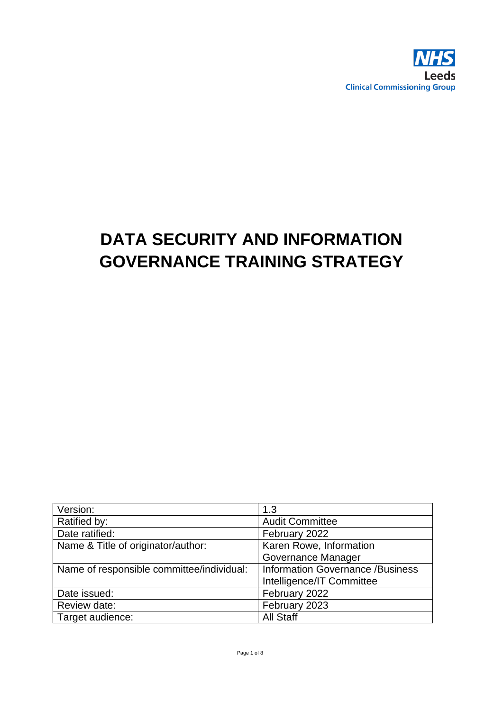

# **DATA SECURITY AND INFORMATION GOVERNANCE TRAINING STRATEGY**

| Version:                                  | 1.3                                     |
|-------------------------------------------|-----------------------------------------|
| Ratified by:                              | <b>Audit Committee</b>                  |
| Date ratified:                            | February 2022                           |
| Name & Title of originator/author:        | Karen Rowe, Information                 |
|                                           | Governance Manager                      |
| Name of responsible committee/individual: | <b>Information Governance /Business</b> |
|                                           | Intelligence/IT Committee               |
| Date issued:                              | February 2022                           |
| Review date:                              | February 2023                           |
| Target audience:                          | <b>All Staff</b>                        |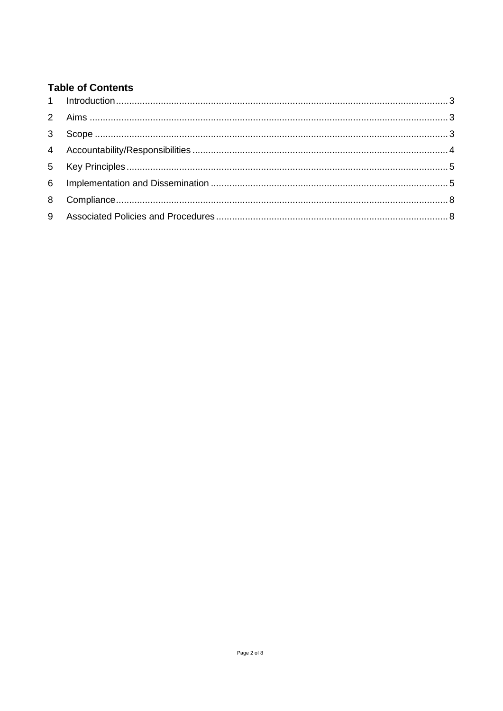# **Table of Contents**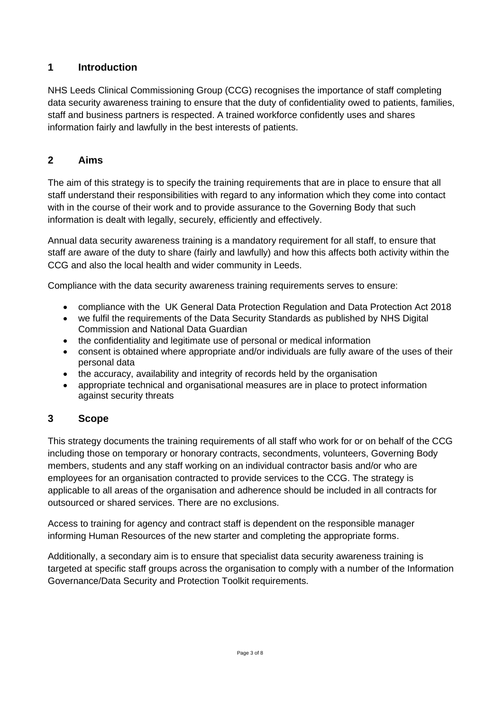# <span id="page-2-0"></span>**1 Introduction**

NHS Leeds Clinical Commissioning Group (CCG) recognises the importance of staff completing data security awareness training to ensure that the duty of confidentiality owed to patients, families, staff and business partners is respected. A trained workforce confidently uses and shares information fairly and lawfully in the best interests of patients.

# <span id="page-2-1"></span>**2 Aims**

The aim of this strategy is to specify the training requirements that are in place to ensure that all staff understand their responsibilities with regard to any information which they come into contact with in the course of their work and to provide assurance to the Governing Body that such information is dealt with legally, securely, efficiently and effectively.

Annual data security awareness training is a mandatory requirement for all staff, to ensure that staff are aware of the duty to share (fairly and lawfully) and how this affects both activity within the CCG and also the local health and wider community in Leeds.

Compliance with the data security awareness training requirements serves to ensure:

- compliance with the UK General Data Protection Regulation and Data Protection Act 2018
- we fulfil the requirements of the Data Security Standards as published by NHS Digital Commission and National Data Guardian
- the confidentiality and legitimate use of personal or medical information
- consent is obtained where appropriate and/or individuals are fully aware of the uses of their personal data
- the accuracy, availability and integrity of records held by the organisation
- appropriate technical and organisational measures are in place to protect information against security threats

#### <span id="page-2-2"></span>**3 Scope**

This strategy documents the training requirements of all staff who work for or on behalf of the CCG including those on temporary or honorary contracts, secondments, volunteers, Governing Body members, students and any staff working on an individual contractor basis and/or who are employees for an organisation contracted to provide services to the CCG. The strategy is applicable to all areas of the organisation and adherence should be included in all contracts for outsourced or shared services. There are no exclusions.

Access to training for agency and contract staff is dependent on the responsible manager informing Human Resources of the new starter and completing the appropriate forms.

Additionally, a secondary aim is to ensure that specialist data security awareness training is targeted at specific staff groups across the organisation to comply with a number of the Information Governance/Data Security and Protection Toolkit requirements.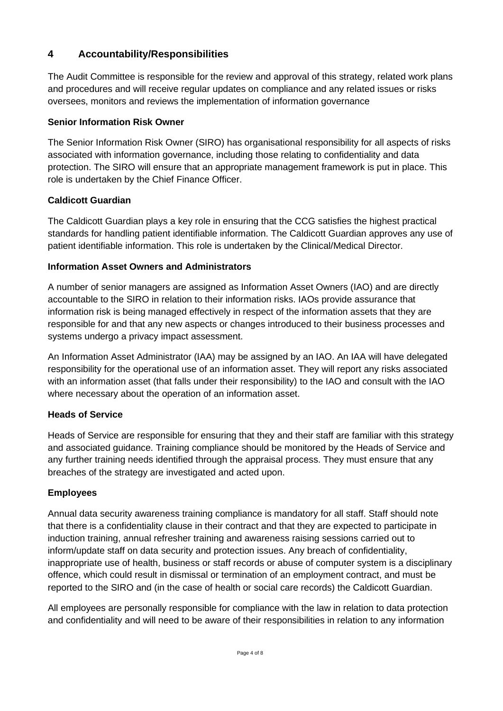# <span id="page-3-0"></span>**4 Accountability/Responsibilities**

The Audit Committee is responsible for the review and approval of this strategy, related work plans and procedures and will receive regular updates on compliance and any related issues or risks oversees, monitors and reviews the implementation of information governance

#### **Senior Information Risk Owner**

The Senior Information Risk Owner (SIRO) has organisational responsibility for all aspects of risks associated with information governance, including those relating to confidentiality and data protection. The SIRO will ensure that an appropriate management framework is put in place. This role is undertaken by the Chief Finance Officer.

#### **Caldicott Guardian**

The Caldicott Guardian plays a key role in ensuring that the CCG satisfies the highest practical standards for handling patient identifiable information. The Caldicott Guardian approves any use of patient identifiable information. This role is undertaken by the Clinical/Medical Director.

#### **Information Asset Owners and Administrators**

A number of senior managers are assigned as Information Asset Owners (IAO) and are directly accountable to the SIRO in relation to their information risks. IAOs provide assurance that information risk is being managed effectively in respect of the information assets that they are responsible for and that any new aspects or changes introduced to their business processes and systems undergo a privacy impact assessment.

An Information Asset Administrator (IAA) may be assigned by an IAO. An IAA will have delegated responsibility for the operational use of an information asset. They will report any risks associated with an information asset (that falls under their responsibility) to the IAO and consult with the IAO where necessary about the operation of an information asset.

#### **Heads of Service**

Heads of Service are responsible for ensuring that they and their staff are familiar with this strategy and associated guidance. Training compliance should be monitored by the Heads of Service and any further training needs identified through the appraisal process. They must ensure that any breaches of the strategy are investigated and acted upon.

#### **Employees**

Annual data security awareness training compliance is mandatory for all staff. Staff should note that there is a confidentiality clause in their contract and that they are expected to participate in induction training, annual refresher training and awareness raising sessions carried out to inform/update staff on data security and protection issues. Any breach of confidentiality, inappropriate use of health, business or staff records or abuse of computer system is a disciplinary offence, which could result in dismissal or termination of an employment contract, and must be reported to the SIRO and (in the case of health or social care records) the Caldicott Guardian.

All employees are personally responsible for compliance with the law in relation to data protection and confidentiality and will need to be aware of their responsibilities in relation to any information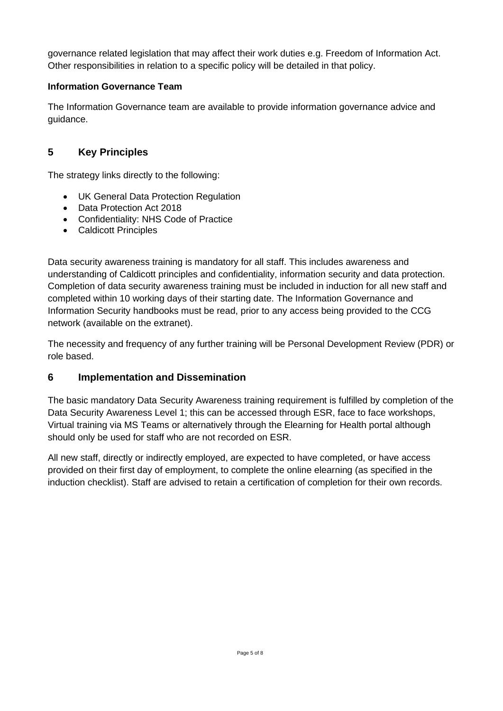governance related legislation that may affect their work duties e.g. Freedom of Information Act. Other responsibilities in relation to a specific policy will be detailed in that policy.

# **Information Governance Team**

The Information Governance team are available to provide information governance advice and guidance.

# <span id="page-4-0"></span>**5 Key Principles**

The strategy links directly to the following:

- UK General Data Protection Regulation
- Data Protection Act 2018
- Confidentiality: NHS Code of Practice
- Caldicott Principles

Data security awareness training is mandatory for all staff. This includes awareness and understanding of Caldicott principles and confidentiality, information security and data protection. Completion of data security awareness training must be included in induction for all new staff and completed within 10 working days of their starting date. The Information Governance and Information Security handbooks must be read, prior to any access being provided to the CCG network (available on the extranet).

The necessity and frequency of any further training will be Personal Development Review (PDR) or role based.

# <span id="page-4-1"></span>**6 Implementation and Dissemination**

The basic mandatory Data Security Awareness training requirement is fulfilled by completion of the Data Security Awareness Level 1; this can be accessed through ESR, face to face workshops, Virtual training via MS Teams or alternatively through the Elearning for Health portal although should only be used for staff who are not recorded on ESR.

All new staff, directly or indirectly employed, are expected to have completed, or have access provided on their first day of employment, to complete the online elearning (as specified in the induction checklist). Staff are advised to retain a certification of completion for their own records.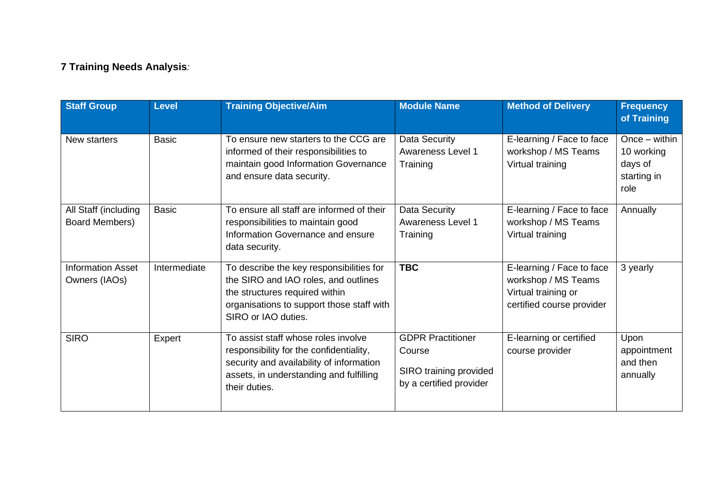# **7 Training Needs Analysis***:*

| <b>Staff Group</b>                        | <b>Level</b> | <b>Training Objective/Aim</b>                                                                                                                                                          | <b>Module Name</b>                                                                      | <b>Method of Delivery</b>                                                                            | <b>Frequency</b><br>of Training                                 |
|-------------------------------------------|--------------|----------------------------------------------------------------------------------------------------------------------------------------------------------------------------------------|-----------------------------------------------------------------------------------------|------------------------------------------------------------------------------------------------------|-----------------------------------------------------------------|
| New starters                              | <b>Basic</b> | To ensure new starters to the CCG are<br>informed of their responsibilities to<br>maintain good Information Governance<br>and ensure data security.                                    | Data Security<br><b>Awareness Level 1</b><br>Training                                   | E-learning / Face to face<br>workshop / MS Teams<br>Virtual training                                 | $Once - within$<br>10 working<br>days of<br>starting in<br>role |
| All Staff (including<br>Board Members)    | <b>Basic</b> | To ensure all staff are informed of their<br>responsibilities to maintain good<br>Information Governance and ensure<br>data security.                                                  | Data Security<br>Awareness Level 1<br>Training                                          | E-learning / Face to face<br>workshop / MS Teams<br>Virtual training                                 | Annually                                                        |
| <b>Information Asset</b><br>Owners (IAOs) | Intermediate | To describe the key responsibilities for<br>the SIRO and IAO roles, and outlines<br>the structures required within<br>organisations to support those staff with<br>SIRO or IAO duties. | <b>TBC</b>                                                                              | E-learning / Face to face<br>workshop / MS Teams<br>Virtual training or<br>certified course provider | 3 yearly                                                        |
| <b>SIRO</b>                               | Expert       | To assist staff whose roles involve<br>responsibility for the confidentiality,<br>security and availability of information<br>assets, in understanding and fulfilling<br>their duties. | <b>GDPR Practitioner</b><br>Course<br>SIRO training provided<br>by a certified provider | E-learning or certified<br>course provider                                                           | Upon<br>appointment<br>and then<br>annually                     |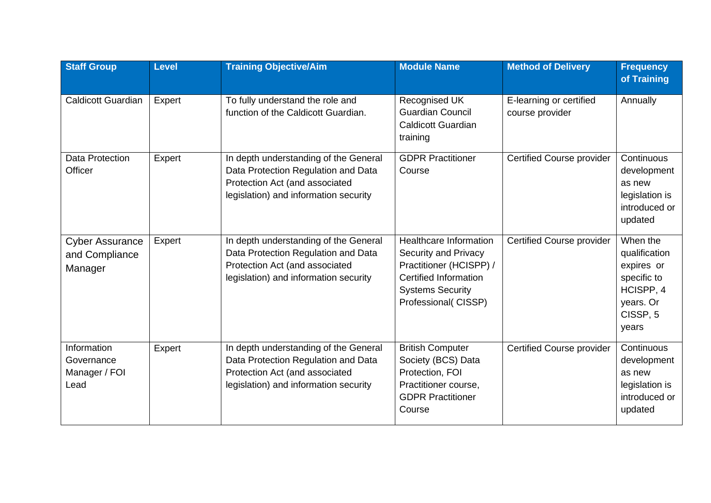| <b>Staff Group</b>                                  | <b>Level</b> | <b>Training Objective/Aim</b>                                                                                                                           | <b>Module Name</b>                                                                                                                                                 | <b>Method of Delivery</b>                  | <b>Frequency</b><br>of Training                                                                                   |
|-----------------------------------------------------|--------------|---------------------------------------------------------------------------------------------------------------------------------------------------------|--------------------------------------------------------------------------------------------------------------------------------------------------------------------|--------------------------------------------|-------------------------------------------------------------------------------------------------------------------|
| <b>Caldicott Guardian</b>                           | Expert       | To fully understand the role and<br>function of the Caldicott Guardian.                                                                                 | Recognised UK<br><b>Guardian Council</b><br><b>Caldicott Guardian</b><br>training                                                                                  | E-learning or certified<br>course provider | Annually                                                                                                          |
| <b>Data Protection</b><br>Officer                   | Expert       | In depth understanding of the General<br>Data Protection Regulation and Data<br>Protection Act (and associated<br>legislation) and information security | <b>GDPR Practitioner</b><br>Course                                                                                                                                 | <b>Certified Course provider</b>           | Continuous<br>development<br>as new<br>legislation is<br>introduced or<br>updated                                 |
| <b>Cyber Assurance</b><br>and Compliance<br>Manager | Expert       | In depth understanding of the General<br>Data Protection Regulation and Data<br>Protection Act (and associated<br>legislation) and information security | <b>Healthcare Information</b><br>Security and Privacy<br>Practitioner (HCISPP) /<br><b>Certified Information</b><br><b>Systems Security</b><br>Professional(CISSP) | <b>Certified Course provider</b>           | When the<br>qualification<br>expires or<br>specific to<br>HCISPP, 4<br>years. Or<br>CISSP <sub>, 5</sub><br>years |
| Information<br>Governance<br>Manager / FOI<br>Lead  | Expert       | In depth understanding of the General<br>Data Protection Regulation and Data<br>Protection Act (and associated<br>legislation) and information security | <b>British Computer</b><br>Society (BCS) Data<br>Protection, FOI<br>Practitioner course,<br><b>GDPR Practitioner</b><br>Course                                     | <b>Certified Course provider</b>           | Continuous<br>development<br>as new<br>legislation is<br>introduced or<br>updated                                 |